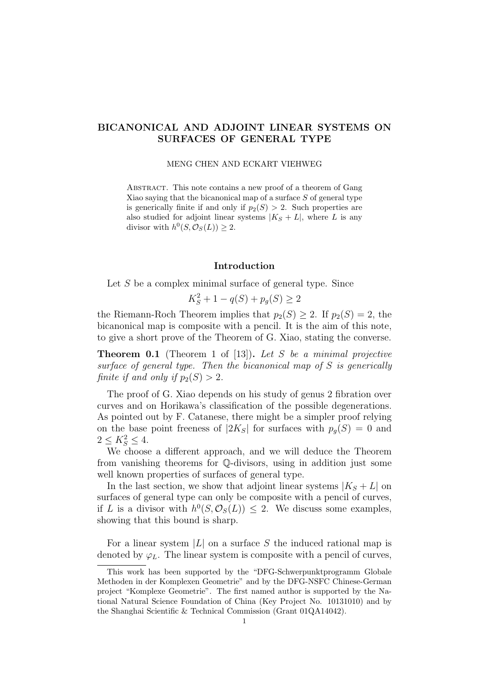# BICANONICAL AND ADJOINT LINEAR SYSTEMS ON SURFACES OF GENERAL TYPE

#### MENG CHEN AND ECKART VIEHWEG

ABSTRACT. This note contains a new proof of a theorem of Gang Xiao saying that the bicanonical map of a surface S of general type is generically finite if and only if  $p_2(S) > 2$ . Such properties are also studied for adjoint linear systems  $|K_S + L|$ , where L is any divisor with  $h^0(S, \mathcal{O}_S(L)) \geq 2$ .

## Introduction

Let S be a complex minimal surface of general type. Since

$$
K_S^2 + 1 - q(S) + p_g(S) \ge 2
$$

the Riemann-Roch Theorem implies that  $p_2(S) \geq 2$ . If  $p_2(S) = 2$ , the bicanonical map is composite with a pencil. It is the aim of this note, to give a short prove of the Theorem of G. Xiao, stating the converse.

**Theorem 0.1** (Theorem 1 of [13]). Let S be a minimal projective surface of general type. Then the bicanonical map of S is generically finite if and only if  $p_2(S) > 2$ .

The proof of G. Xiao depends on his study of genus 2 fibration over curves and on Horikawa's classification of the possible degenerations. As pointed out by F. Catanese, there might be a simpler proof relying on the base point freeness of  $|2K_S|$  for surfaces with  $p_q(S) = 0$  and  $2 \le K_S^2 \le 4.$ 

We choose a different approach, and we will deduce the Theorem from vanishing theorems for Q-divisors, using in addition just some well known properties of surfaces of general type.

In the last section, we show that adjoint linear systems  $|K_S + L|$  on surfaces of general type can only be composite with a pencil of curves, if L is a divisor with  $h^0(S, \mathcal{O}_S(L)) \leq 2$ . We discuss some examples, showing that this bound is sharp.

For a linear system  $|L|$  on a surface S the induced rational map is denoted by  $\varphi_L$ . The linear system is composite with a pencil of curves,

This work has been supported by the "DFG-Schwerpunktprogramm Globale Methoden in der Komplexen Geometrie" and by the DFG-NSFC Chinese-German project "Komplexe Geometrie". The first named author is supported by the National Natural Science Foundation of China (Key Project No. 10131010) and by the Shanghai Scientific & Technical Commission (Grant 01QA14042).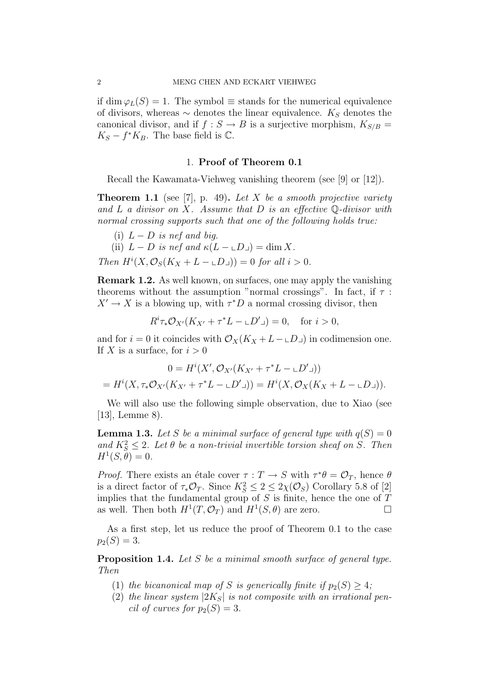if dim  $\varphi_L(S) = 1$ . The symbol  $\equiv$  stands for the numerical equivalence of divisors, whereas  $\sim$  denotes the linear equivalence.  $K_S$  denotes the canonical divisor, and if  $f : S \to B$  is a surjective morphism,  $K_{S/B} =$  $K_S - f^*K_B$ . The base field is  $\mathbb{C}$ .

### 1. Proof of Theorem 0.1

Recall the Kawamata-Viehweg vanishing theorem (see [9] or [12]).

**Theorem 1.1** (see [7], p. 49). Let X be a smooth projective variety and L a divisor on X. Assume that D is an effective  $\mathbb Q$ -divisor with normal crossing supports such that one of the following holds true:

(i)  $L - D$  is nef and big.

(ii)  $L - D$  is nef and  $\kappa(L - \mathcal{L}D_{\perp}) = \dim X$ .

Then  $H^i(X, \mathcal{O}_S(K_X + L - \mathcal{L}D_{\mathcal{I}})) = 0$  for all  $i > 0$ .

Remark 1.2. As well known, on surfaces, one may apply the vanishing theorems without the assumption "normal crossings". In fact, if  $\tau$ :  $X' \to X$  is a blowing up, with  $\tau^*D$  a normal crossing divisor, then

$$
R^i \tau_* \mathcal{O}_{X'}(K_{X'} + \tau^* L - \mathcal{L}D') = 0, \quad \text{for } i > 0,
$$

and for  $i = 0$  it coincides with  $\mathcal{O}_X(K_X + L - L_D)$  in codimension one. If X is a surface, for  $i > 0$ 

$$
0 = H^{i}(X', \mathcal{O}_{X'}(K_{X'} + \tau^{*}L - \mathcal{L}D'\mathsf{I}))
$$
  
=  $H^{i}(X, \tau_{*}\mathcal{O}_{X'}(K_{X'} + \tau^{*}L - \mathcal{L}D'\mathsf{I})) = H^{i}(X, \mathcal{O}_{X}(K_{X} + L - \mathcal{L}D\mathsf{I})).$ 

We will also use the following simple observation, due to Xiao (see  $|13|$ , Lemme 8).

**Lemma 1.3.** Let S be a minimal surface of general type with  $q(S) = 0$ and  $K_S^2 \leq 2$ . Let  $\theta$  be a non-trivial invertible torsion sheaf on S. Then  $H^1(S, \theta) = 0.$ 

*Proof.* There exists an étale cover  $\tau : T \to S$  with  $\tau^* \theta = \mathcal{O}_T$ , hence  $\theta$ is a direct factor of  $\tau_* \mathcal{O}_T$ . Since  $K_S^2 \leq 2 \leq 2\chi(\mathcal{O}_S)$  Corollary 5.8 of [2] implies that the fundamental group of  $S$  is finite, hence the one of  $T$ as well. Then both  $H^1(T, \mathcal{O}_T)$  and  $H^1(S, \theta)$  are zero.

As a first step, let us reduce the proof of Theorem 0.1 to the case  $p_2(S) = 3.$ 

Proposition 1.4. Let S be a minimal smooth surface of general type. Then

- (1) the bicanonical map of S is generically finite if  $p_2(S) \geq 4$ ;
- (2) the linear system  $|2K_S|$  is not composite with an irrational pencil of curves for  $p_2(S) = 3$ .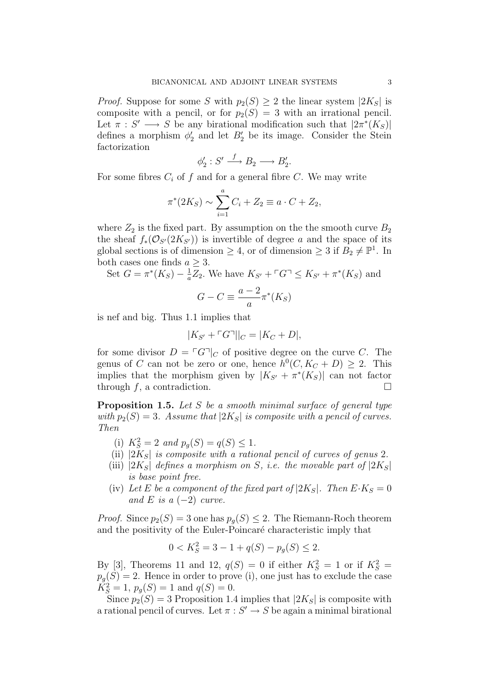*Proof.* Suppose for some S with  $p_2(S) \geq 2$  the linear system  $|2K_S|$  is composite with a pencil, or for  $p_2(S) = 3$  with an irrational pencil. Let  $\pi : S' \longrightarrow S$  be any birational modification such that  $|2\pi^*(K_S)|$ defines a morphism  $\phi'_2$  and let  $B'_2$  be its image. Consider the Stein factorization

$$
\phi_2': S' \xrightarrow{f} B_2 \longrightarrow B_2'.
$$

For some fibres  $C_i$  of f and for a general fibre C. We may write

$$
\pi^*(2K_S) \sim \sum_{i=1}^a C_i + Z_2 \equiv a \cdot C + Z_2,
$$

where  $Z_2$  is the fixed part. By assumption on the the smooth curve  $B_2$ the sheaf  $f_*(\mathcal{O}_{S'}(2K_{S'}))$  is invertible of degree a and the space of its global sections is of dimension  $\geq 4$ , or of dimension  $\geq 3$  if  $B_2 \neq \mathbb{P}^1$ . In both cases one finds  $a \geq 3$ .

Set 
$$
G = \pi^*(K_S) - \frac{1}{a}Z_2
$$
. We have  $K_{S'} + \ulcorner G \urcorner \le K_{S'} + \pi^*(K_S)$  and

$$
G - C \equiv \frac{a - 2}{a} \pi^*(K_S)
$$

is nef and big. Thus 1.1 implies that

$$
|K_{S'} + \ulcorner G\urcorner||_C = |K_C + D|,
$$

for some divisor  $D = \lceil G \rceil_C$  of positive degree on the curve C. The genus of C can not be zero or one, hence  $h^0(C, K_C + D) \geq 2$ . This implies that the morphism given by  $|K_{S'} + \pi^*(K_S)|$  can not factor through f, a contradiction.  $\square$ 

**Proposition 1.5.** Let S be a smooth minimal surface of general type with  $p_2(S) = 3$ . Assume that  $|2K_S|$  is composite with a pencil of curves. Then

- (i)  $K_S^2 = 2$  and  $p_g(S) = q(S) \le 1$ .
- (ii)  $|2K_S|$  is composite with a rational pencil of curves of genus 2.
- (iii)  $|2K_S|$  defines a morphism on S, i.e. the movable part of  $|2K_S|$ is base point free.
- (iv) Let E be a component of the fixed part of  $|2K_S|$ . Then  $E\cdot K_S = 0$ and E is a  $(-2)$  curve.

*Proof.* Since  $p_2(S) = 3$  one has  $p_q(S) \leq 2$ . The Riemann-Roch theorem and the positivity of the Euler-Poincaré characteristic imply that

$$
0 < K_S^2 = 3 - 1 + q(S) - p_g(S) \le 2.
$$

By [3], Theorems 11 and 12,  $q(S) = 0$  if either  $K_S^2 = 1$  or if  $K_S^2 =$  $p_g(S) = 2$ . Hence in order to prove (i), one just has to exclude the case  $K_S^2 = 1$ ,  $p_g(S) = 1$  and  $q(S) = 0$ .

Since  $p_2(S) = 3$  Proposition 1.4 implies that  $|2K_S|$  is composite with a rational pencil of curves. Let  $\pi : S' \to S$  be again a minimal birational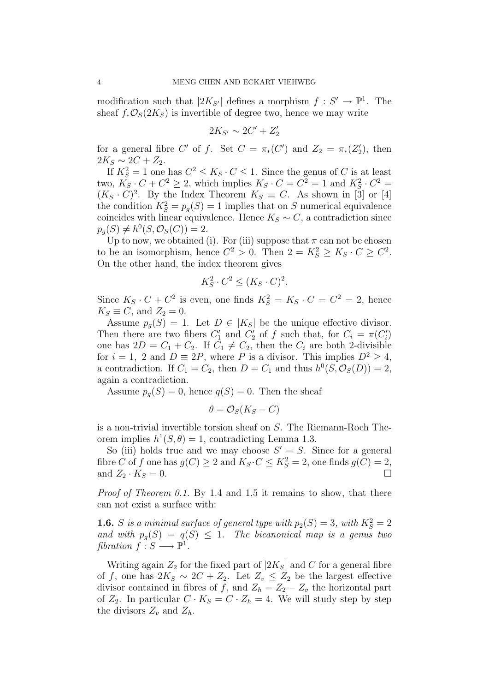modification such that  $|2K_{S'}|$  defines a morphism  $f: S' \to \mathbb{P}^1$ . The sheaf  $f_*\mathcal{O}_S(2K_S)$  is invertible of degree two, hence we may write

$$
2K_{S'} \sim 2C' + Z_2'
$$

for a general fibre C' of f. Set  $C = \pi_*(C')$  and  $Z_2 = \pi_*(Z'_2)$ , then  $2K_S \sim 2C + Z_2$ .

If  $K_S^2 = 1$  one has  $C^2 \leq K_S \cdot C \leq 1$ . Since the genus of C is at least two,  $K_S \cdot C + C^2 \ge 2$ , which implies  $K_S \cdot C = C^2 = 1$  and  $K_S^2 \cdot C^2 =$  $(K_S \cdot C)^2$ . By the Index Theorem  $K_S \equiv C$ . As shown in [3] or [4] the condition  $K_S^2 = p_g(S) = 1$  implies that on S numerical equivalence coincides with linear equivalence. Hence  $K_S \sim C$ , a contradiction since  $p_g(S) \neq h^0(S, \mathcal{O}_S(C)) = 2.$ 

Up to now, we obtained (i). For (iii) suppose that  $\pi$  can not be chosen to be an isomorphism, hence  $C^2 > 0$ . Then  $2 = K_S^2 \ge K_S \cdot C \ge C^2$ . On the other hand, the index theorem gives

$$
K_S^2 \cdot C^2 \le (K_S \cdot C)^2.
$$

Since  $K_S \cdot C + C^2$  is even, one finds  $K_S^2 = K_S \cdot C = C^2 = 2$ , hence  $K_S \equiv C$ , and  $Z_2 = 0$ .

Assume  $p_q(S) = 1$ . Let  $D \in |K_S|$  be the unique effective divisor. Then there are two fibers  $C'_1$  and  $C'_2$  of f such that, for  $C_i = \pi(C'_i)$ one has  $2D = C_1 + C_2$ . If  $C_1 \neq C_2$ , then the  $C_i$  are both 2-divisible for  $i = 1, 2$  and  $D \equiv 2P$ , where P is a divisor. This implies  $D^2 \geq 4$ , a contradiction. If  $C_1 = C_2$ , then  $D = C_1$  and thus  $h^0(S, \mathcal{O}_S(D)) = 2$ , again a contradiction.

Assume  $p_q(S) = 0$ , hence  $q(S) = 0$ . Then the sheaf

$$
\theta = \mathcal{O}_S(K_S - C)
$$

is a non-trivial invertible torsion sheaf on S. The Riemann-Roch Theorem implies  $h^1(S, \theta) = 1$ , contradicting Lemma 1.3.

So (iii) holds true and we may choose  $S' = S$ . Since for a general fibre C of f one has  $g(C) \ge 2$  and  $K_S \cdot C \le K_S^2 = 2$ , one finds  $g(C) = 2$ , and  $Z_2 \cdot K_S = 0$ .

Proof of Theorem 0.1. By 1.4 and 1.5 it remains to show, that there can not exist a surface with:

**1.6.** S is a minimal surface of general type with  $p_2(S) = 3$ , with  $K_S^2 = 2$ and with  $p_q(S) = q(S) \leq 1$ . The bicanonical map is a genus two fibration  $f : S \longrightarrow \mathbb{P}^1$ .

Writing again  $Z_2$  for the fixed part of  $|2K_S|$  and C for a general fibre of f, one has  $2K_S \sim 2C + Z_2$ . Let  $Z_v \leq Z_2$  be the largest effective divisor contained in fibres of f, and  $Z_h = Z_2 - Z_v$  the horizontal part of  $Z_2$ . In particular  $C \cdot K_S = C \cdot Z_h = 4$ . We will study step by step the divisors  $Z_v$  and  $Z_h$ .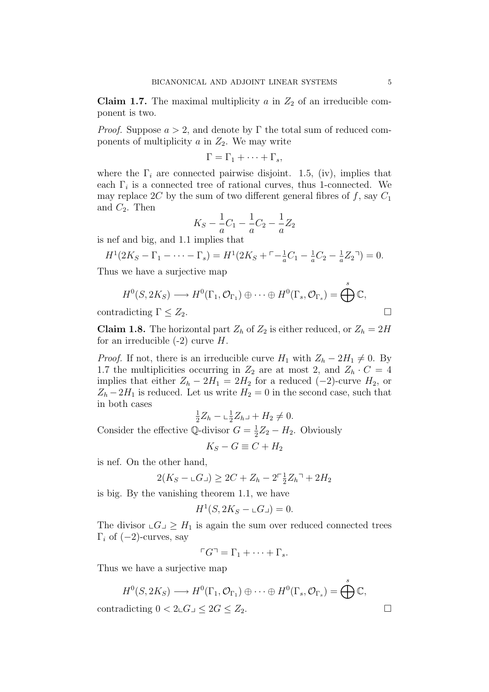Claim 1.7. The maximal multiplicity  $a$  in  $Z_2$  of an irreducible component is two.

*Proof.* Suppose  $a > 2$ , and denote by Γ the total sum of reduced components of multiplicity  $a$  in  $Z_2$ . We may write

$$
\Gamma = \Gamma_1 + \cdots + \Gamma_s,
$$

where the  $\Gamma_i$  are connected pairwise disjoint. 1.5, (iv), implies that each  $\Gamma_i$  is a connected tree of rational curves, thus 1-connected. We may replace 2C by the sum of two different general fibres of f, say  $C_1$ and  $C_2$ . Then

$$
K_S - \frac{1}{a}C_1 - \frac{1}{a}C_2 - \frac{1}{a}Z_2
$$

is nef and big, and 1.1 implies that

$$
H^{1}(2K_{S}-\Gamma_{1}-\cdots-\Gamma_{s})=H^{1}(2K_{S}+\Gamma-\frac{1}{a}C_{1}-\frac{1}{a}C_{2}-\frac{1}{a}Z_{2})=0.
$$

Thus we have a surjective map

$$
H^{0}(S, 2K_{S}) \longrightarrow H^{0}(\Gamma_{1}, \mathcal{O}_{\Gamma_{1}}) \oplus \cdots \oplus H^{0}(\Gamma_{s}, \mathcal{O}_{\Gamma_{s}}) = \bigoplus_{s}^{s} \mathbb{C},
$$
  
contradicting  $\Gamma \leq Z_{2}$ .

**Claim 1.8.** The horizontal part  $Z_h$  of  $Z_2$  is either reduced, or  $Z_h = 2H$ for an irreducible  $(-2)$  curve H.

*Proof.* If not, there is an irreducible curve  $H_1$  with  $Z_h - 2H_1 \neq 0$ . By 1.7 the multiplicities occurring in  $Z_2$  are at most 2, and  $Z_h \cdot C = 4$ implies that either  $Z_h - 2H_1 = 2H_2$  for a reduced (-2)-curve  $H_2$ , or  $Z_h - 2H_1$  is reduced. Let us write  $H_2 = 0$  in the second case, such that in both cases

1  $\frac{1}{2}Z_h - \frac{1}{2}$  $\frac{1}{2}Z_{h-} + H_2 \neq 0.$ 

Consider the effective Q-divisor  $G = \frac{1}{2}$  $\frac{1}{2}Z_2 - H_2$ . Obviously

$$
K_S - G \equiv C + H_2
$$

is nef. On the other hand,

$$
2(K_S - \sqcup G \sqsupset) \ge 2C + Z_h - 2^{-\frac{1}{2}}Z_h \negthinspace \negthinspace + 2H_2
$$

is big. By the vanishing theorem 1.1, we have

$$
H^1(S, 2K_S - \mathbf{L}G) = 0.
$$

The divisor  $\mathcal{L}G \supseteq H_1$  is again the sum over reduced connected trees  $\Gamma_i$  of  $(-2)$ -curves, say

$$
\ulcorner G \urcorner = \Gamma_1 + \cdots + \Gamma_s.
$$

Thus we have a surjective map

$$
H^{0}(S, 2K_{S}) \longrightarrow H^{0}(\Gamma_{1}, \mathcal{O}_{\Gamma_{1}}) \oplus \cdots \oplus H^{0}(\Gamma_{s}, \mathcal{O}_{\Gamma_{s}}) = \bigoplus^{s} \mathbb{C},
$$
  
contradicting  $0 < 2 \mathbb{L}G \mathbb{L} \leq 2G \leq Z_{2}$ .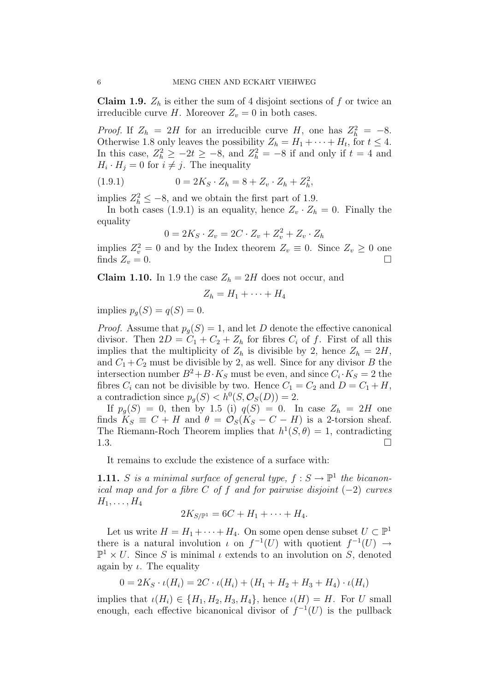**Claim 1.9.**  $Z_h$  is either the sum of 4 disjoint sections of f or twice an irreducible curve H. Moreover  $Z_v = 0$  in both cases.

*Proof.* If  $Z_h = 2H$  for an irreducible curve H, one has  $Z_h^2 = -8$ . Otherwise 1.8 only leaves the possibility  $Z_h = H_1 + \cdots + H_t$ , for  $t \leq 4$ . In this case,  $Z_h^2 \ge -2t \ge -8$ , and  $Z_h^2 = -8$  if and only if  $t = 4$  and  $H_i \cdot H_j = 0$  for  $i \neq j$ . The inequality

(1.9.1) 
$$
0 = 2K_S \cdot Z_h = 8 + Z_v \cdot Z_h + Z_h^2,
$$

implies  $Z_h^2 \leq -8$ , and we obtain the first part of 1.9.

In both cases (1.9.1) is an equality, hence  $Z_v \cdot Z_h = 0$ . Finally the equality

$$
0 = 2K_S \cdot Z_v = 2C \cdot Z_v + Z_v^2 + Z_v \cdot Z_h
$$

implies  $Z_v^2 = 0$  and by the Index theorem  $Z_v \equiv 0$ . Since  $Z_v \ge 0$  one finds  $Z_v = 0$ .

**Claim 1.10.** In 1.9 the case  $Z_h = 2H$  does not occur, and

$$
Z_h = H_1 + \cdots + H_4
$$

implies  $p_q(S) = q(S) = 0$ .

*Proof.* Assume that  $p_q(S) = 1$ , and let D denote the effective canonical divisor. Then  $2D = C_1 + C_2 + Z_h$  for fibres  $C_i$  of f. First of all this implies that the multiplicity of  $Z_h$  is divisible by 2, hence  $Z_h = 2H$ , and  $C_1 + C_2$  must be divisible by 2, as well. Since for any divisor B the intersection number  $B^2 + B \cdot K_S$  must be even, and since  $C_i \cdot K_S = 2$  the fibres  $C_i$  can not be divisible by two. Hence  $C_1 = C_2$  and  $D = C_1 + H$ , a contradiction since  $p_g(S) < h^0(S, \mathcal{O}_S(D)) = 2$ .

If  $p_q(S) = 0$ , then by 1.5 (i)  $q(S) = 0$ . In case  $Z_h = 2H$  one finds  $K_S \equiv C + H$  and  $\theta = \mathcal{O}_S(K_S - C - H)$  is a 2-torsion sheaf. The Riemann-Roch Theorem implies that  $h^1(S, \theta) = 1$ , contradicting 1.3. <del>□</del>

It remains to exclude the existence of a surface with:

**1.11.** S is a minimal surface of general type,  $f : S \to \mathbb{P}^1$  the bicanonical map and for a fibre  $C$  of  $f$  and for pairwise disjoint  $(-2)$  curves  $H_1, \ldots, H_4$ 

$$
2K_{S/\mathbb{P}^1} = 6C + H_1 + \cdots + H_4.
$$

Let us write  $H = H_1 + \cdots + H_4$ . On some open dense subset  $U \subset \mathbb{P}^1$ there is a natural involution  $\iota$  on  $f^{-1}(U)$  with quotient  $f^{-1}(U) \to$  $\mathbb{P}^1 \times U$ . Since S is minimal *ι* extends to an involution on S, denoted again by  $\iota$ . The equality

$$
0 = 2K_S \cdot \iota(H_i) = 2C \cdot \iota(H_i) + (H_1 + H_2 + H_3 + H_4) \cdot \iota(H_i)
$$

implies that  $\iota(H_i) \in \{H_1, H_2, H_3, H_4\}$ , hence  $\iota(H) = H$ . For U small enough, each effective bicanonical divisor of  $f^{-1}(U)$  is the pullback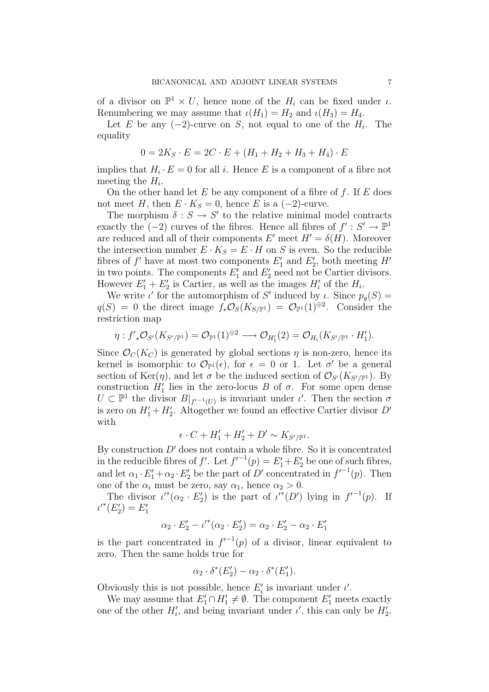of a divisor on  $\mathbb{P}^1 \times U$ , hence none of the  $H_i$  can be fixed under  $\iota$ . Renumbering we may assume that  $\iota(H_1) = H_2$  and  $\iota(H_3) = H_4$ .

Let E be any  $(-2)$ -curve on S, not equal to one of the  $H_i$ . The equality

$$
0 = 2K_S \cdot E = 2C \cdot E + (H_1 + H_2 + H_3 + H_4) \cdot E
$$

implies that  $H_i \cdot E = 0$  for all i. Hence E is a component of a fibre not meeting the  $H_i$ .

On the other hand let  $E$  be any component of a fibre of  $f$ . If  $E$  does not meet H, then  $E \cdot K_S = 0$ , hence E is a (-2)-curve.

The morphism  $\delta : S \to S'$  to the relative minimal model contracts exactly the  $(-2)$  curves of the fibres. Hence all fibres of  $f' : S' \to \mathbb{P}^1$ are reduced and all of their components E' meet  $H' = \delta(H)$ . Moreover the intersection number  $E \cdot K_S = E \cdot H$  on S is even. So the reducible fibres of  $f'$  have at most two components  $E'_1$  and  $E'_2$ , both meeting  $H'$ in two points. The components  $E'_1$  and  $E'_2$  need not be Cartier divisors. However  $E'_1 + E'_2$  is Cartier, as well as the images  $H'_i$  of the  $H_i$ .

We write  $\iota'$  for the automorphism of S' induced by  $\iota$ . Since  $p_g(S)$  =  $q(S) = 0$  the direct image  $f_*\mathcal{O}_S(K_{S/\mathbb{P}^1}) = \mathcal{O}_{\mathbb{P}^1}(1)^{\oplus 2}$ . Consider the restriction map

$$
\eta: f'_{*}\mathcal{O}_{S'}(K_{S'/\mathbb{P}^1})=\mathcal{O}_{\mathbb{P}^1}(1)^{\oplus 2}\longrightarrow \mathcal{O}_{H'_1}(2)=\mathcal{O}_{H_i}(K_{S'/\mathbb{P}^1}\cdot H'_1).
$$

Since  $\mathcal{O}_C(K_C)$  is generated by global sections  $\eta$  is non-zero, hence its kernel is isomorphic to  $\mathcal{O}_{\mathbb{P}^1}(\epsilon)$ , for  $\epsilon = 0$  or 1. Let  $\sigma'$  be a general section of Ker( $\eta$ ), and let  $\sigma$  be the induced section of  $\mathcal{O}_{S'}(K_{S'/\mathbb{P}^1})$ . By construction  $H_1'$  lies in the zero-locus B of  $\sigma$ . For some open dense  $U \subset \mathbb{P}^1$  the divisor  $B|_{f'^{-1}(U)}$  is invariant under  $\iota'$ . Then the section  $\sigma$ is zero on  $H_1' + H_2'$ . Altogether we found an effective Cartier divisor  $D'$ with

$$
\epsilon \cdot C + H_1' + H_2' + D' \sim K_{S'/\mathbb{P}^1}.
$$

By construction  $D'$  does not contain a whole fibre. So it is concentrated in the reducible fibres of f'. Let  $f'^{-1}(p) = E'_1 + E'_2$  be one of such fibres, and let  $\alpha_1 \cdot E_1' + \alpha_2 \cdot E_2'$  be the part of D' concentrated in  $f^{-1}(p)$ . Then one of the  $\alpha_i$  must be zero, say  $\alpha_1$ , hence  $\alpha_2 > 0$ .

The divisor  $\iota'^*(\alpha_2 \cdot E_2')$  is the part of  $\iota'^*(D')$  lying in  $f'^{-1}(p)$ . If  $\iota'^*(E_2') = E_1'$ 

$$
\alpha_2 \cdot E_2' - \iota'^*(\alpha_2 \cdot E_2') = \alpha_2 \cdot E_2' - \alpha_2 \cdot E_1'
$$

is the part concentrated in  $f^{-1}(p)$  of a divisor, linear equivalent to zero. Then the same holds true for

$$
\alpha_2 \cdot \delta^*(E'_2) - \alpha_2 \cdot \delta^*(E'_1).
$$

Obviously this is not possible, hence  $E'_i$  is invariant under  $\iota'$ .

We may assume that  $E'_1 \cap H'_1 \neq \emptyset$ . The component  $E'_1$  meets exactly one of the other  $H'_i$ , and being invariant under  $\iota'$ , this can only be  $H'_2$ .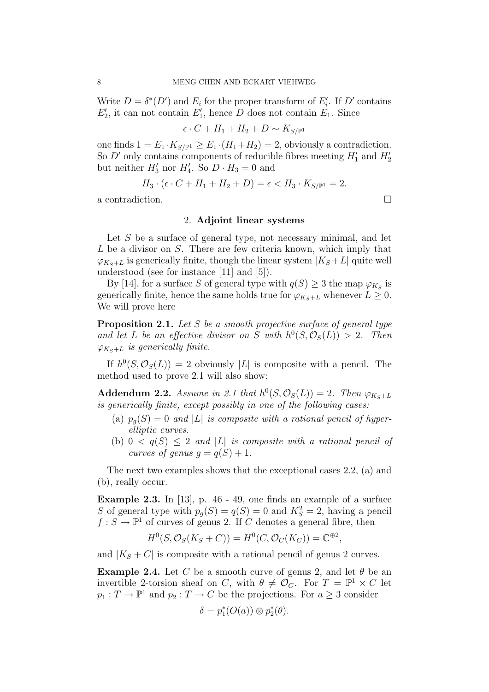Write  $D = \delta^*(D')$  and  $E_i$  for the proper transform of  $E'_i$ . If  $D'$  contains  $E'_{2}$ , it can not contain  $E'_{1}$ , hence D does not contain  $E_{1}$ . Since

$$
\epsilon \cdot C + H_1 + H_2 + D \sim K_{S/\mathbb{P}^1}
$$

one finds  $1 = E_1 \cdot K_{S/\mathbb{P}^1} \ge E_1 \cdot (H_1 + H_2) = 2$ , obviously a contradiction. So  $D'$  only contains components of reducible fibres meeting  $H'_1$  and  $H'_2$ but neither  $H'_3$  nor  $H'_4$ . So  $D \cdot H_3 = 0$  and

$$
H_3 \cdot (\epsilon \cdot C + H_1 + H_2 + D) = \epsilon < H_3 \cdot K_{S/\mathbb{P}^1} = 2,
$$

a contradiction.

## 2. Adjoint linear systems

Let  $S$  be a surface of general type, not necessary minimal, and let  $L$  be a divisor on  $S$ . There are few criteria known, which imply that  $\varphi_{K_S+L}$  is generically finite, though the linear system  $|K_S+L|$  quite well understood (see for instance [11] and [5]).

By [14], for a surface S of general type with  $q(S) \geq 3$  the map  $\varphi_{K_S}$  is generically finite, hence the same holds true for  $\varphi_{K_S+L}$  whenever  $L \geq 0$ . We will prove here

**Proposition 2.1.** Let S be a smooth projective surface of general type and let L be an effective divisor on S with  $h^0(S, \mathcal{O}_S(L)) > 2$ . Then  $\varphi_{Ks+L}$  is generically finite.

If  $h^0(S, \mathcal{O}_S(L)) = 2$  obviously |L| is composite with a pencil. The method used to prove 2.1 will also show:

Addendum 2.2. Assume in 2.1 that  $h^0(S, \mathcal{O}_S(L)) = 2$ . Then  $\varphi_{K_S+L}$ is generically finite, except possibly in one of the following cases:

- (a)  $p_q(S) = 0$  and |L| is composite with a rational pencil of hyperelliptic curves.
- (b)  $0 < q(S) \leq 2$  and |L| is composite with a rational pencil of curves of genus  $g = q(S) + 1$ .

The next two examples shows that the exceptional cases 2.2, (a) and (b), really occur.

Example 2.3. In [13], p. 46 - 49, one finds an example of a surface S of general type with  $p_g(S) = q(S) = 0$  and  $K_S^2 = 2$ , having a pencil  $f: S \to \mathbb{P}^1$  of curves of genus 2. If C denotes a general fibre, then

$$
H^0(S, \mathcal{O}_S(K_S + C)) = H^0(C, \mathcal{O}_C(K_C)) = \mathbb{C}^{\oplus 2},
$$

and  $|K_S + C|$  is composite with a rational pencil of genus 2 curves.

**Example 2.4.** Let C be a smooth curve of genus 2, and let  $\theta$  be an invertible 2-torsion sheaf on C, with  $\theta \neq \mathcal{O}_C$ . For  $T = \mathbb{P}^1 \times C$  let  $p_1: T \to \mathbb{P}^1$  and  $p_2: T \to C$  be the projections. For  $a \geq 3$  consider

$$
\delta = p_1^*(O(a)) \otimes p_2^*(\theta).
$$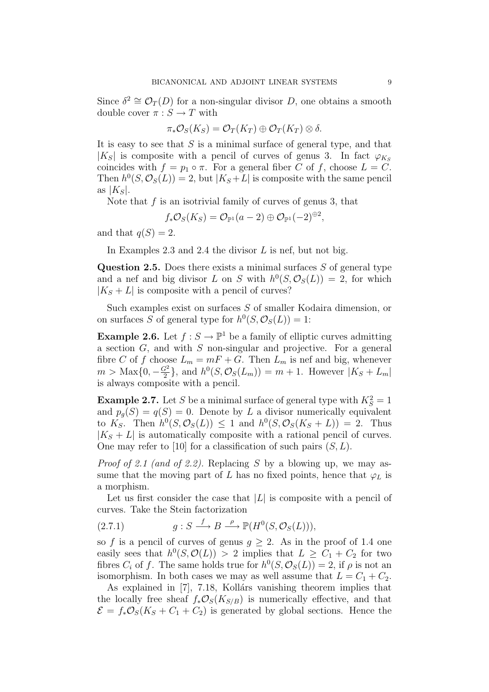Since  $\delta^2 \cong \mathcal{O}_T(D)$  for a non-singular divisor D, one obtains a smooth double cover  $\pi : S \to T$  with

$$
\pi_*\mathcal{O}_S(K_S)=\mathcal{O}_T(K_T)\oplus \mathcal{O}_T(K_T)\otimes \delta.
$$

It is easy to see that  $S$  is a minimal surface of general type, and that  $|K_S|$  is composite with a pencil of curves of genus 3. In fact  $\varphi_{K_S}$ coincides with  $f = p_1 \circ \pi$ . For a general fiber C of f, choose  $L = C$ . Then  $h^0(S, \mathcal{O}_S(L)) = 2$ , but  $|K_S + L|$  is composite with the same pencil as  $|K_S|$ .

Note that  $f$  is an isotrivial family of curves of genus 3, that

$$
f_*\mathcal{O}_S(K_S)=\mathcal{O}_{\mathbb{P}^1}(a-2)\oplus \mathcal{O}_{\mathbb{P}^1}(-2)^{\oplus 2},
$$

and that  $q(S) = 2$ .

In Examples 2.3 and 2.4 the divisor  $L$  is nef, but not big.

Question 2.5. Does there exists a minimal surfaces  $S$  of general type and a nef and big divisor L on S with  $h^0(S, \mathcal{O}_S(L)) = 2$ , for which  $|K_S + L|$  is composite with a pencil of curves?

Such examples exist on surfaces S of smaller Kodaira dimension, or on surfaces S of general type for  $h^0(S, \mathcal{O}_S(L)) = 1$ :

**Example 2.6.** Let  $f : S \to \mathbb{P}^1$  be a family of elliptic curves admitting a section  $G$ , and with  $S$  non-singular and projective. For a general fibre C of f choose  $L_m = mF + G$ . Then  $L_m$  is nef and big, whenever  $m > \text{Max} \{0, -\frac{G^2}{2}\}$  $\frac{G^2}{2}$ , and  $h^0(S, \mathcal{O}_S(L_m)) = m + 1$ . However  $|K_S + L_m|$ is always composite with a pencil.

**Example 2.7.** Let S be a minimal surface of general type with  $K_S^2 = 1$ and  $p_g(S) = q(S) = 0$ . Denote by L a divisor numerically equivalent to  $K_S$ . Then  $h^0(S, \mathcal{O}_S(L)) \leq 1$  and  $h^0(S, \mathcal{O}_S(K_S + L)) = 2$ . Thus  $|K_S + L|$  is automatically composite with a rational pencil of curves. One may refer to [10] for a classification of such pairs  $(S, L)$ .

*Proof of 2.1 (and of 2.2).* Replacing S by a blowing up, we may assume that the moving part of L has no fixed points, hence that  $\varphi_L$  is a morphism.

Let us first consider the case that  $|L|$  is composite with a pencil of curves. Take the Stein factorization

(2.7.1) 
$$
g: S \xrightarrow{f} B \xrightarrow{\rho} \mathbb{P}(H^0(S, \mathcal{O}_S(L))),
$$

so f is a pencil of curves of genus  $g \geq 2$ . As in the proof of 1.4 one easily sees that  $h^0(S, \mathcal{O}(L)) > 2$  implies that  $L \geq C_1 + C_2$  for two fibres  $C_i$  of f. The same holds true for  $h^0(S, \mathcal{O}_S(L)) = 2$ , if  $\rho$  is not an isomorphism. In both cases we may as well assume that  $L = C_1 + C_2$ .

As explained in  $[7]$ , 7.18, Kollárs vanishing theorem implies that the locally free sheaf  $f_*\mathcal{O}_S(K_{S/B})$  is numerically effective, and that  $\mathcal{E} = f_* \mathcal{O}_S(K_S + C_1 + C_2)$  is generated by global sections. Hence the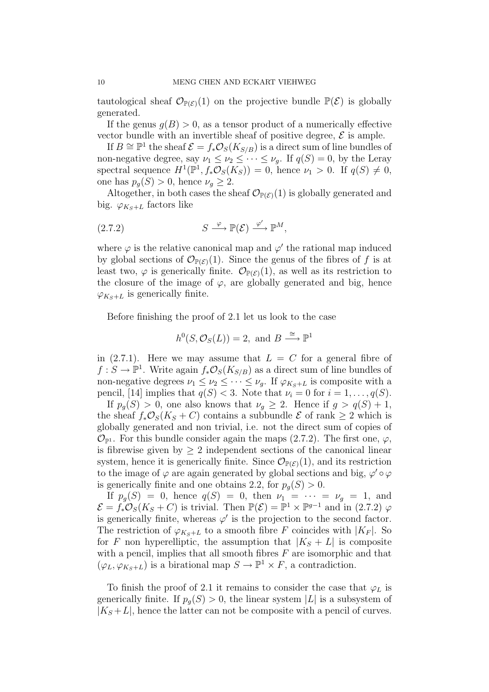tautological sheaf  $\mathcal{O}_{\mathbb{P}(\mathcal{E})}(1)$  on the projective bundle  $\mathbb{P}(\mathcal{E})$  is globally generated.

If the genus  $g(B) > 0$ , as a tensor product of a numerically effective vector bundle with an invertible sheaf of positive degree,  $\mathcal E$  is ample.

If  $B \cong \mathbb{P}^1$  the sheaf  $\mathcal{E} = f_* \mathcal{O}_S(K_{S/B})$  is a direct sum of line bundles of non-negative degree, say  $\nu_1 \leq \nu_2 \leq \cdots \leq \nu_g$ . If  $q(S) = 0$ , by the Leray spectral sequence  $H^1(\mathbb{P}^1, f_*\mathcal{O}_S(K_S)) = 0$ , hence  $\nu_1 > 0$ . If  $q(S) \neq 0$ , one has  $p_g(S) > 0$ , hence  $\nu_g \geq 2$ .

Altogether, in both cases the sheaf  $\mathcal{O}_{\mathbb{P}(\mathcal{E})}(1)$  is globally generated and big.  $\varphi_{Ks+L}$  factors like

$$
(2.7.2) \t\t S \xrightarrow{\varphi} \mathbb{P}(\mathcal{E}) \xrightarrow{\varphi'} \mathbb{P}^M,
$$

where  $\varphi$  is the relative canonical map and  $\varphi'$  the rational map induced by global sections of  $\mathcal{O}_{\mathbb{P}(\mathcal{E})}(1)$ . Since the genus of the fibres of f is at least two,  $\varphi$  is generically finite.  $\mathcal{O}_{\mathbb{P}(\mathcal{E})}(1)$ , as well as its restriction to the closure of the image of  $\varphi$ , are globally generated and big, hence  $\varphi_{K_S+L}$  is generically finite.

Before finishing the proof of 2.1 let us look to the case

$$
h^0(S, \mathcal{O}_S(L)) = 2
$$
, and  $B \stackrel{\cong}{\longrightarrow} \mathbb{P}^1$ 

in  $(2.7.1)$ . Here we may assume that  $L = C$  for a general fibre of  $f: S \to \mathbb{P}^1$ . Write again  $f_*\mathcal{O}_S(K_{S/B})$  as a direct sum of line bundles of non-negative degrees  $\nu_1 \leq \nu_2 \leq \cdots \leq \nu_g$ . If  $\varphi_{K_S+L}$  is composite with a pencil, [14] implies that  $q(S) < 3$ . Note that  $\nu_i = 0$  for  $i = 1, \ldots, q(S)$ .

If  $p_q(S) > 0$ , one also knows that  $\nu_q \geq 2$ . Hence if  $g > q(S) + 1$ , the sheaf  $f_*\mathcal{O}_S(K_S+C)$  contains a subbundle  $\mathcal E$  of rank  $\geq 2$  which is globally generated and non trivial, i.e. not the direct sum of copies of  $\mathcal{O}_{\mathbb{P}^1}$ . For this bundle consider again the maps (2.7.2). The first one,  $\varphi$ , is fibrewise given by  $\geq 2$  independent sections of the canonical linear system, hence it is generically finite. Since  $\mathcal{O}_{\mathbb{P}(\mathcal{E})}(1)$ , and its restriction to the image of  $\varphi$  are again generated by global sections and big,  $\varphi' \circ \varphi$ is generically finite and one obtains 2.2, for  $p_q(S) > 0$ .

If  $p_g(S) = 0$ , hence  $q(S) = 0$ , then  $\nu_1 = \cdots = \nu_g = 1$ , and  $\mathcal{E} = f_* \mathcal{O}_S(K_S + C)$  is trivial. Then  $\mathbb{P}(\mathcal{E}) = \mathbb{P}^1 \times \mathbb{P}^{g-1}$  and in (2.7.2)  $\varphi$ is generically finite, whereas  $\varphi'$  is the projection to the second factor. The restriction of  $\varphi_{K_S+L}$  to a smooth fibre F coincides with  $|K_F|$ . So for F non hyperelliptic, the assumption that  $|K_S + L|$  is composite with a pencil, implies that all smooth fibres  $F$  are isomorphic and that  $(\varphi_L, \varphi_{K_S+L})$  is a birational map  $S \to \mathbb{P}^1 \times F$ , a contradiction.

To finish the proof of 2.1 it remains to consider the case that  $\varphi_L$  is generically finite. If  $p_q(S) > 0$ , the linear system |L| is a subsystem of  $|K_S + L|$ , hence the latter can not be composite with a pencil of curves.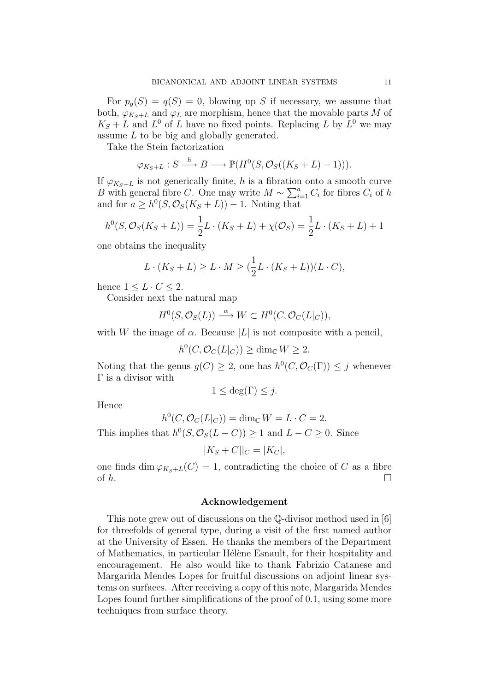For  $p_q(S) = q(S) = 0$ , blowing up S if necessary, we assume that both,  $\varphi_{Ks+L}$  and  $\varphi_L$  are morphism, hence that the movable parts M of  $K_S + L$  and  $L^0$  of L have no fixed points. Replacing L by  $L^0$  we may assume L to be big and globally generated.

Take the Stein factorization

$$
\varphi_{K_S+L}: S \xrightarrow{h} B \longrightarrow \mathbb{P}(H^0(S, \mathcal{O}_S((K_S+L)-1))).
$$

If  $\varphi_{K_S+L}$  is not generically finite, h is a fibration onto a smooth curve B with general fibre C. One may write  $M \sim \sum_{i=1}^{a} C_i$  for fibres  $C_i$  of h and for  $a \geq h^0(S, \mathcal{O}_S(K_S + L)) - 1$ . Noting that

$$
h^{0}(S, \mathcal{O}_{S}(K_{S}+L)) = \frac{1}{2}L \cdot (K_{S}+L) + \chi(\mathcal{O}_{S}) = \frac{1}{2}L \cdot (K_{S}+L) + 1
$$

one obtains the inequality

$$
L \cdot (K_S + L) \ge L \cdot M \ge \left(\frac{1}{2}L \cdot (K_S + L)\right)(L \cdot C),
$$

hence  $1 \leq L \cdot C \leq 2$ .

Consider next the natural map

$$
H^0(S, \mathcal{O}_S(L)) \xrightarrow{\alpha} W \subset H^0(C, \mathcal{O}_C(L|_C)),
$$

with W the image of  $\alpha$ . Because |L| is not composite with a pencil,

 $h^0(C, \mathcal{O}_C(L|_C)) \ge \dim_{\mathbb{C}} W \ge 2.$ 

Noting that the genus  $g(C) \geq 2$ , one has  $h^0(C, \mathcal{O}_C(\Gamma)) \leq j$  whenever Γ is a divisor with

$$
1 \le \deg(\Gamma) \le j.
$$

Hence

$$
h^0(C, \mathcal{O}_C(L|_C)) = \dim_{\mathbb{C}} W = L \cdot C = 2.
$$

This implies that  $h^0(S, \mathcal{O}_S(L-C)) \geq 1$  and  $L-C \geq 0$ . Since

$$
|K_S + C||_C = |K_C|,
$$

one finds dim  $\varphi_{K_S+L}(C) = 1$ , contradicting the choice of C as a fibre of  $h$ .

### Acknowledgement

This note grew out of discussions on the Q-divisor method used in [6] for threefolds of general type, during a visit of the first named author at the University of Essen. He thanks the members of the Department of Mathematics, in particular Hélène Esnault, for their hospitality and encouragement. He also would like to thank Fabrizio Catanese and Margarida Mendes Lopes for fruitful discussions on adjoint linear systems on surfaces. After receiving a copy of this note, Margarida Mendes Lopes found further simplifications of the proof of 0.1, using some more techniques from surface theory.